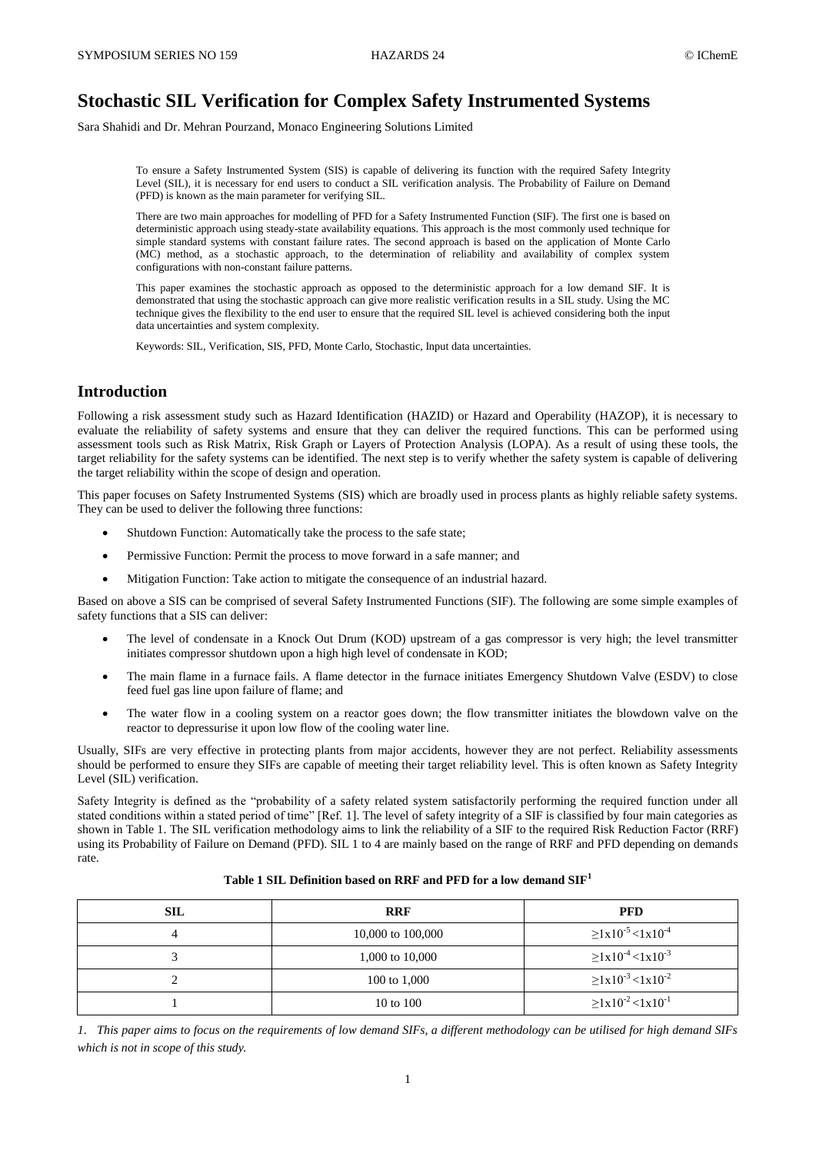# **Stochastic SIL Verification for Complex Safety Instrumented Systems**

Sara Shahidi and Dr. Mehran Pourzand, Monaco Engineering Solutions Limited

To ensure a Safety Instrumented System (SIS) is capable of delivering its function with the required Safety Integrity Level (SIL), it is necessary for end users to conduct a SIL verification analysis. The Probability of Failure on Demand (PFD) is known as the main parameter for verifying SIL.

There are two main approaches for modelling of PFD for a Safety Instrumented Function (SIF). The first one is based on deterministic approach using steady-state availability equations. This approach is the most commonly used technique for simple standard systems with constant failure rates. The second approach is based on the application of Monte Carlo (MC) method, as a stochastic approach, to the determination of reliability and availability of complex system configurations with non-constant failure patterns.

This paper examines the stochastic approach as opposed to the deterministic approach for a low demand SIF. It is demonstrated that using the stochastic approach can give more realistic verification results in a SIL study. Using the MC technique gives the flexibility to the end user to ensure that the required SIL level is achieved considering both the input data uncertainties and system complexity.

Keywords: SIL, Verification, SIS, PFD, Monte Carlo, Stochastic, Input data uncertainties.

# **Introduction**

Following a risk assessment study such as Hazard Identification (HAZID) or Hazard and Operability (HAZOP), it is necessary to evaluate the reliability of safety systems and ensure that they can deliver the required functions. This can be performed using assessment tools such as Risk Matrix, Risk Graph or Layers of Protection Analysis (LOPA). As a result of using these tools, the target reliability for the safety systems can be identified. The next step is to verify whether the safety system is capable of delivering the target reliability within the scope of design and operation.

This paper focuses on Safety Instrumented Systems (SIS) which are broadly used in process plants as highly reliable safety systems. They can be used to deliver the following three functions:

- Shutdown Function: Automatically take the process to the safe state;
- Permissive Function: Permit the process to move forward in a safe manner; and
- Mitigation Function: Take action to mitigate the consequence of an industrial hazard.

Based on above a SIS can be comprised of several Safety Instrumented Functions (SIF). The following are some simple examples of safety functions that a SIS can deliver:

- The level of condensate in a Knock Out Drum (KOD) upstream of a gas compressor is very high; the level transmitter initiates compressor shutdown upon a high high level of condensate in KOD;
- The main flame in a furnace fails. A flame detector in the furnace initiates Emergency Shutdown Valve (ESDV) to close feed fuel gas line upon failure of flame; and
- The water flow in a cooling system on a reactor goes down; the flow transmitter initiates the blowdown valve on the reactor to depressurise it upon low flow of the cooling water line.

Usually, SIFs are very effective in protecting plants from major accidents, however they are not perfect. Reliability assessments should be performed to ensure they SIFs are capable of meeting their target reliability level. This is often known as Safety Integrity Level (SIL) verification.

Safety Integrity is defined as the "probability of a safety related system satisfactorily performing the required function under all stated conditions within a stated period of time" [Ref. [1\]](#page-9-0). The level of safety integrity of a SIF is classified by four main categories as shown in [Table 1.](#page-0-0) The SIL verification methodology aims to link the reliability of a SIF to the required Risk Reduction Factor (RRF) using its Probability of Failure on Demand (PFD). SIL 1 to 4 are mainly based on the range of RRF and PFD depending on demands rate.

<span id="page-0-0"></span>

| <b>SIL</b> | <b>RRF</b>        | <b>PFD</b>                                   |  |  |
|------------|-------------------|----------------------------------------------|--|--|
|            | 10,000 to 100,000 | $\geq 1 \times 10^{-5}$ < 1x10 <sup>-4</sup> |  |  |
|            | 1,000 to 10,000   | $\geq 1 \times 10^{-4}$ < 1x10 <sup>-3</sup> |  |  |
|            | 100 to 1,000      | $\geq 1 \times 10^{-3} < 1 \times 10^{-2}$   |  |  |
|            | 10 to 100         | $\geq 1 \times 10^{-2}$ < 1x10 <sup>-1</sup> |  |  |

# **Table 1 SIL Definition based on RRF and PFD for a low demand SIF<sup>1</sup>**

*1. This paper aims to focus on the requirements of low demand SIFs, a different methodology can be utilised for high demand SIFs which is not in scope of this study.*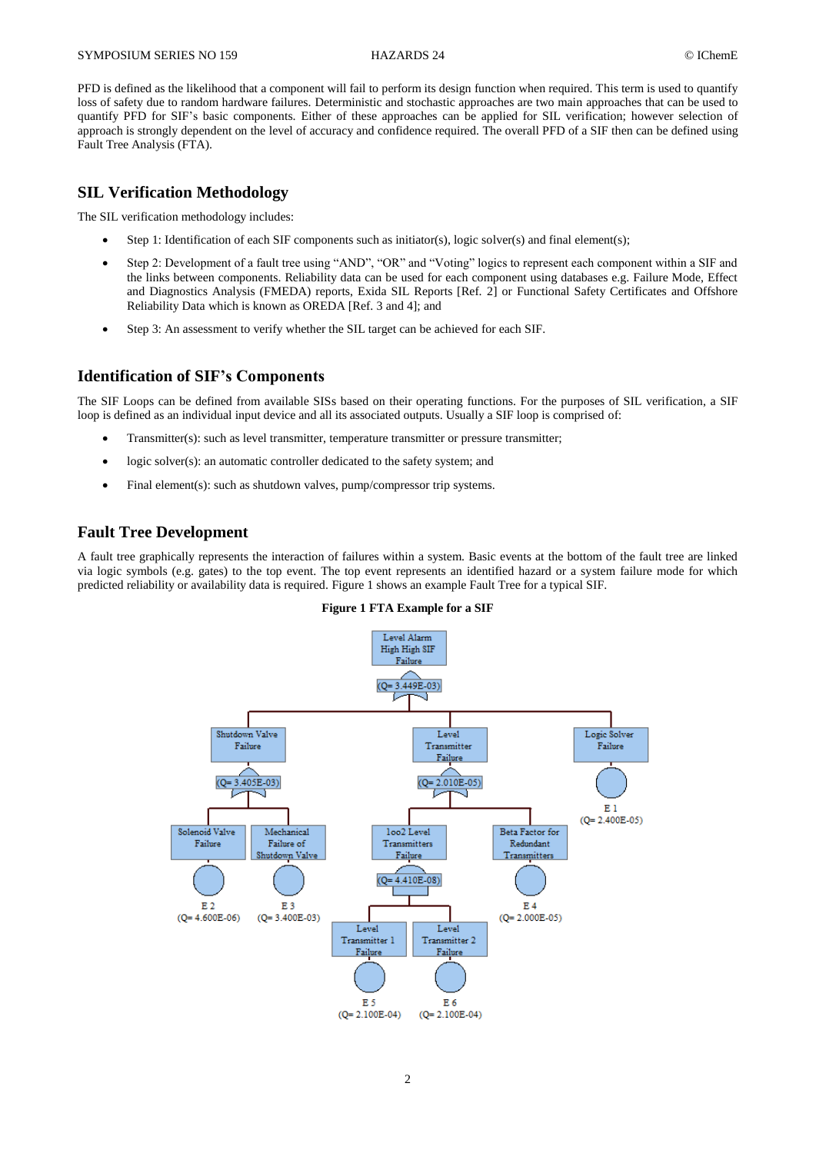PFD is defined as the likelihood that a component will fail to perform its design function when required. This term is used to quantify loss of safety due to random hardware failures. Deterministic and stochastic approaches are two main approaches that can be used to quantify PFD for SIF's basic components. Either of these approaches can be applied for SIL verification; however selection of approach is strongly dependent on the level of accuracy and confidence required. The overall PFD of a SIF then can be defined using Fault Tree Analysis (FTA).

# **SIL Verification Methodology**

The SIL verification methodology includes:

- Step 1: Identification of each SIF components such as initiator(s), logic solver(s) and final element(s);
- Step 2: Development of a fault tree using "AND", "OR" and "Voting" logics to represent each component within a SIF and the links between components. Reliability data can be used for each component using databases e.g. Failure Mode, Effect and Diagnostics Analysis (FMEDA) reports, Exida SIL Reports [Ref. [2\]](#page-9-1) or Functional Safety Certificates and Offshore Reliability Data which is known as OREDA [Ref. [3](#page-9-2) and [4\]](#page-9-3); and
- Step 3: An assessment to verify whether the SIL target can be achieved for each SIF.

# <span id="page-1-1"></span>**Identification of SIF's Components**

The SIF Loops can be defined from available SISs based on their operating functions. For the purposes of SIL verification, a SIF loop is defined as an individual input device and all its associated outputs. Usually a SIF loop is comprised of:

- Transmitter(s): such as level transmitter, temperature transmitter or pressure transmitter;
- logic solver(s): an automatic controller dedicated to the safety system; and
- Final element(s): such as shutdown valves, pump/compressor trip systems.

# **Fault Tree Development**

<span id="page-1-0"></span>A fault tree graphically represents the interaction of failures within a system. Basic events at the bottom of the fault tree are linked via logic symbols (e.g. gates) to the top event. The top event represents an identified hazard or a system failure mode for which predicted reliability or availability data is required. [Figure 1](#page-1-0) shows an example Fault Tree for a typical SIF.



**Figure 1 FTA Example for a SIF**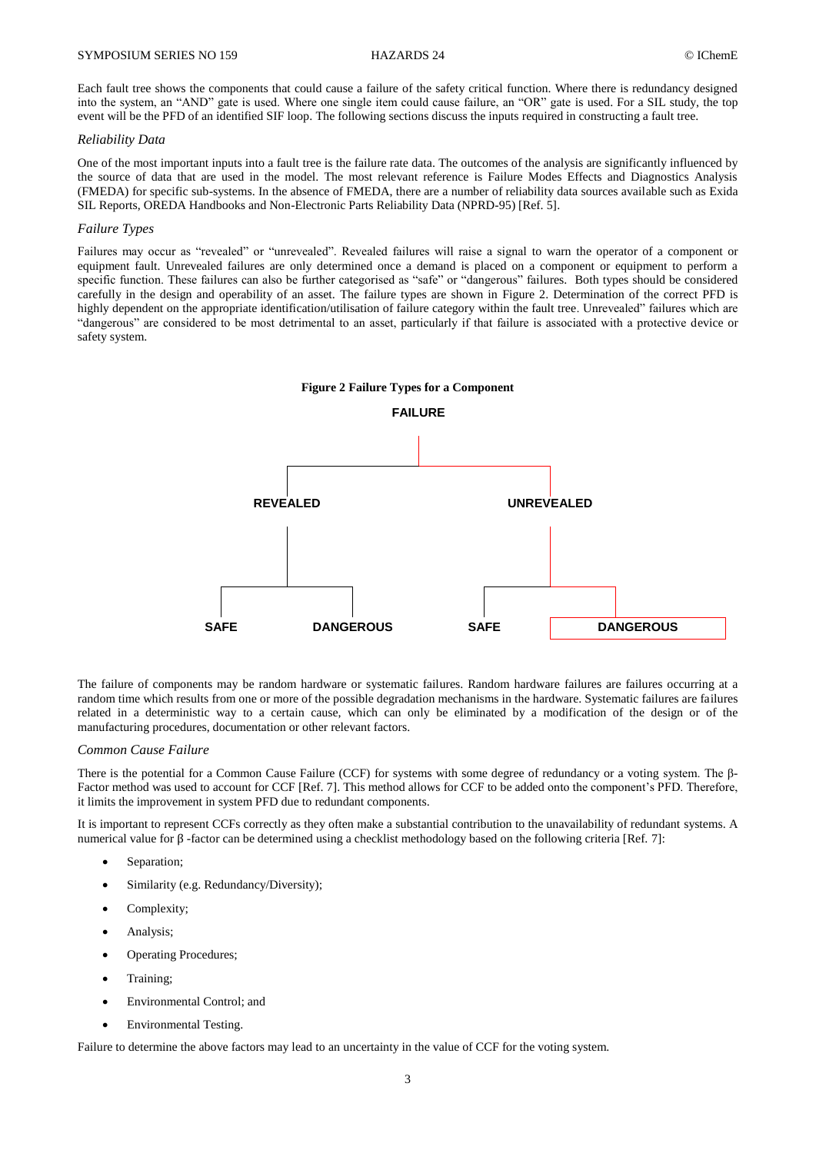Each fault tree shows the components that could cause a failure of the safety critical function. Where there is redundancy designed into the system, an "AND" gate is used. Where one single item could cause failure, an "OR" gate is used. For a SIL study, the top event will be the PFD of an identified SIF loop. The following sections discuss the inputs required in constructing a fault tree.

#### *Reliability Data*

One of the most important inputs into a fault tree is the failure rate data. The outcomes of the analysis are significantly influenced by the source of data that are used in the model. The most relevant reference is Failure Modes Effects and Diagnostics Analysis (FMEDA) for specific sub-systems. In the absence of FMEDA, there are a number of reliability data sources available such as Exida SIL Reports, OREDA Handbooks and Non-Electronic Parts Reliability Data (NPRD-95) [Ref. [5\]](#page-9-4).

#### *Failure Types*

Failures may occur as "revealed" or "unrevealed". Revealed failures will raise a signal to warn the operator of a component or equipment fault. Unrevealed failures are only determined once a demand is placed on a component or equipment to perform a specific function. These failures can also be further categorised as "safe" or "dangerous" failures. Both types should be considered carefully in the design and operability of an asset. The failure types are shown in [Figure 2.](#page-2-0) Determination of the correct PFD is highly dependent on the appropriate identification/utilisation of failure category within the fault tree. Unrevealed" failures which are "dangerous" are considered to be most detrimental to an asset, particularly if that failure is associated with a protective device or safety system.

<span id="page-2-0"></span>

The failure of components may be random hardware or systematic failures. Random hardware failures are failures occurring at a random time which results from one or more of the possible degradation mechanisms in the hardware. Systematic failures are failures related in a deterministic way to a certain cause, which can only be eliminated by a modification of the design or of the manufacturing procedures, documentation or other relevant factors.

### *Common Cause Failure*

There is the potential for a Common Cause Failure (CCF) for systems with some degree of redundancy or a voting system. The β-Factor method was used to account for CCF [Ref[. 7\]](#page-9-5). This method allows for CCF to be added onto the component's PFD. Therefore, it limits the improvement in system PFD due to redundant components.

It is important to represent CCFs correctly as they often make a substantial contribution to the unavailability of redundant systems. A numerical value for  $\beta$ -factor can be determined using a checklist methodology based on the following criteria [Ref. [7\]](#page-9-5):

- Separation:
- Similarity (e.g. Redundancy/Diversity);
- Complexity;
- Analysis;
- Operating Procedures;
- Training;
- Environmental Control; and
- Environmental Testing.

Failure to determine the above factors may lead to an uncertainty in the value of CCF for the voting system.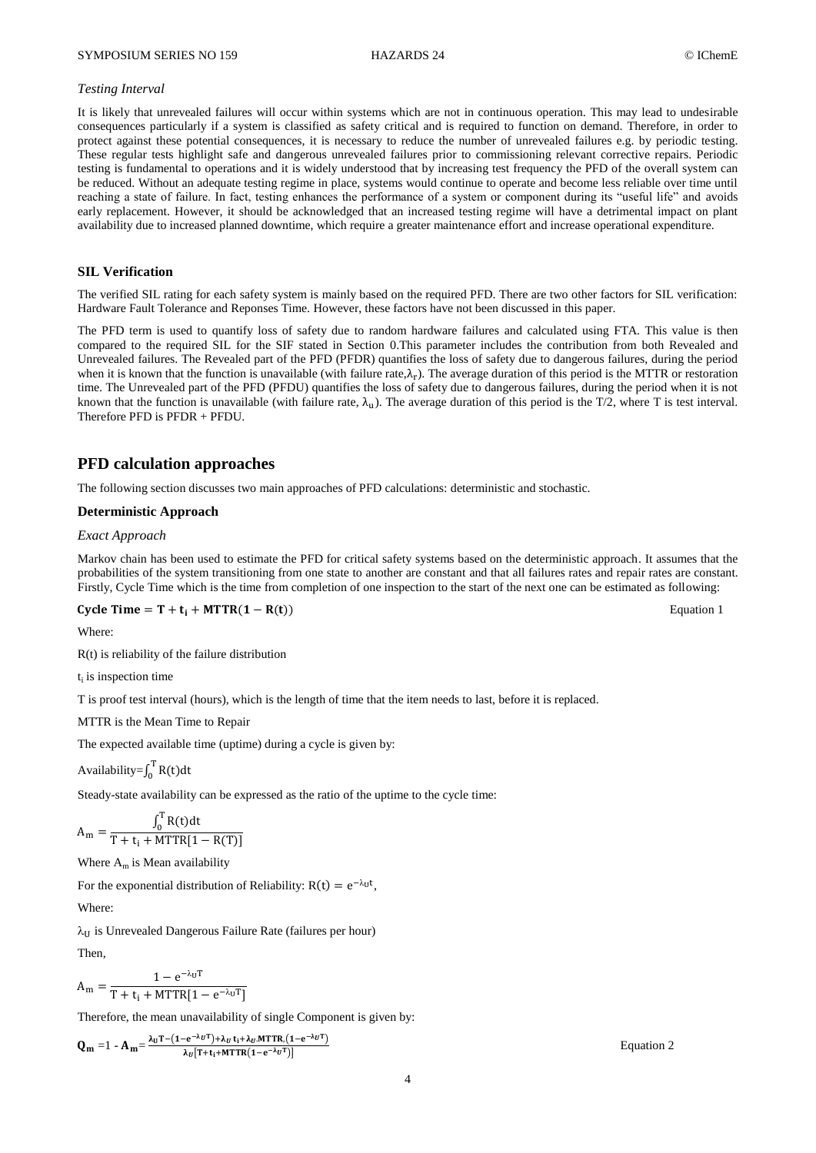#### *Testing Interval*

It is likely that unrevealed failures will occur within systems which are not in continuous operation. This may lead to undesirable consequences particularly if a system is classified as safety critical and is required to function on demand. Therefore, in order to protect against these potential consequences, it is necessary to reduce the number of unrevealed failures e.g. by periodic testing. These regular tests highlight safe and dangerous unrevealed failures prior to commissioning relevant corrective repairs. Periodic testing is fundamental to operations and it is widely understood that by increasing test frequency the PFD of the overall system can be reduced. Without an adequate testing regime in place, systems would continue to operate and become less reliable over time until reaching a state of failure. In fact, testing enhances the performance of a system or component during its "useful life" and avoids early replacement. However, it should be acknowledged that an increased testing regime will have a detrimental impact on plant availability due to increased planned downtime, which require a greater maintenance effort and increase operational expenditure.

#### **SIL Verification**

The verified SIL rating for each safety system is mainly based on the required PFD. There are two other factors for SIL verification: Hardware Fault Tolerance and Reponses Time. However, these factors have not been discussed in this paper.

The PFD term is used to quantify loss of safety due to random hardware failures and calculated using FTA. This value is then compared to the required SIL for the SIF stated in Section [0.](#page-1-1)This parameter includes the contribution from both Revealed and Unrevealed failures. The Revealed part of the PFD (PFDR) quantifies the loss of safety due to dangerous failures, during the period when it is known that the function is unavailable (with failure rate,  $\lambda_r$ ). The average duration of this period is the MTTR or restoration time. The Unrevealed part of the PFD (PFDU) quantifies the loss of safety due to dangerous failures, during the period when it is not known that the function is unavailable (with failure rate,  $\lambda_{\rm u}$ ). The average duration of this period is the T/2, where T is test interval. Therefore PFD is PFDR + PFDU.

# **PFD calculation approaches**

The following section discusses two main approaches of PFD calculations: deterministic and stochastic.

#### **Deterministic Approach**

### *Exact Approach*

Markov chain has been used to estimate the PFD for critical safety systems based on the deterministic approach. It assumes that the probabilities of the system transitioning from one state to another are constant and that all failures rates and repair rates are constant. Firstly, Cycle Time which is the time from completion of one inspection to the start of the next one can be estimated as following:

$$
Cycle Time = T + t_i + MTR(1 - R(t))
$$

Where:

R(t) is reliability of the failure distribution

 $t_i$  is inspection time

T is proof test interval (hours), which is the length of time that the item needs to last, before it is replaced.

MTTR is the Mean Time to Repair

The expected available time (uptime) during a cycle is given by:

Availability= $\int_0^1$ 

Steady-state availability can be expressed as the ratio of the uptime to the cycle time:

$$
A_{m} = \frac{\int_{0}^{T} R(t)dt}{T + t_{i} + MTTR[1 - R(T)]}
$$

Where  $A_m$  is Mean availability

For the exponential distribution of Reliability:  $R(t) = e^{-\lambda_U t}$ ,

Where:

 $\lambda_{\text{U}}$  is Unrevealed Dangerous Failure Rate (failures per hour)

Then,

$$
A_{m} = \frac{1 - e^{-\lambda_{U}T}}{T + t_{i} + MTTR[1 - e^{-\lambda_{U}T}]}
$$

Therefore, the mean unavailability of single Component is given by:

$$
\mathbf{Q_m} = 1 - \mathbf{A_m} = \frac{\lambda_U T - (1 - e^{-\lambda_U T}) + \lambda_U t_1 + \lambda_U M T T R \cdot (1 - e^{-\lambda_U T})}{\lambda_U [T + t_1 + M T T R \cdot (1 - e^{-\lambda_U T})]}
$$

Equation 2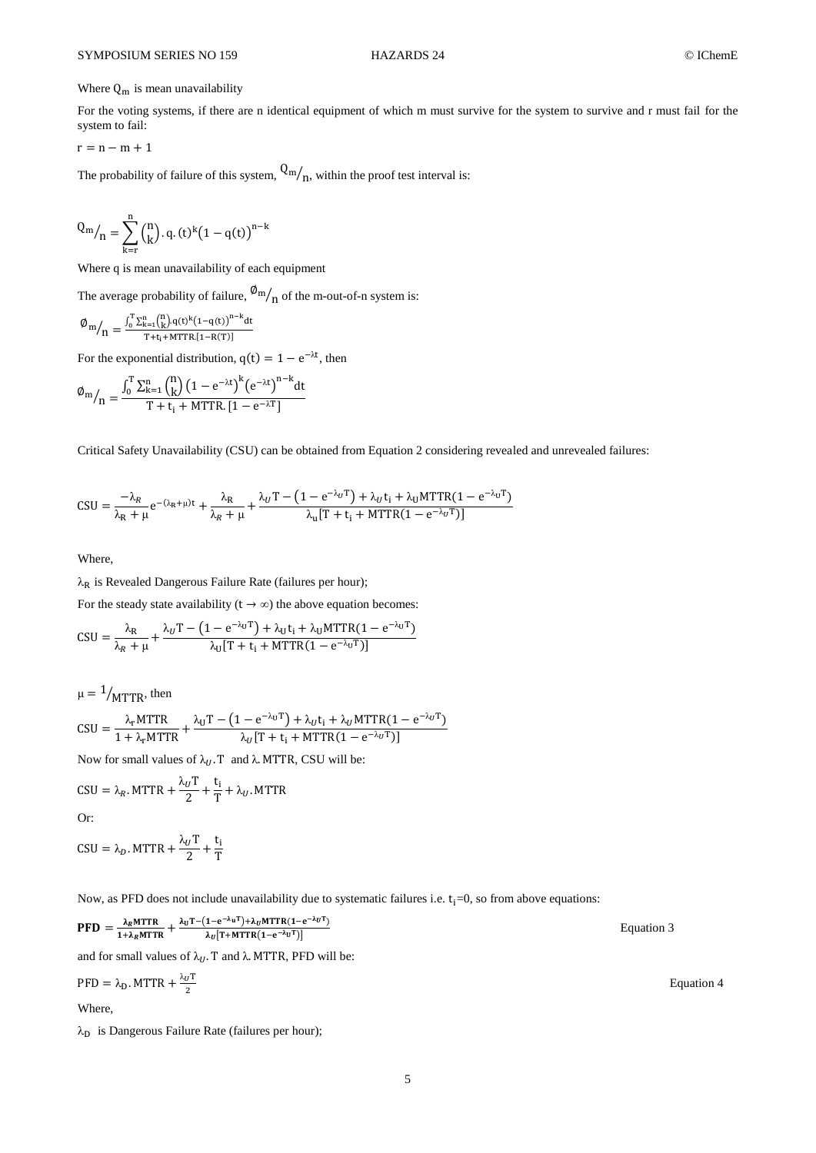# Where  $Q_m$  is mean unavailability

For the voting systems, if there are n identical equipment of which m must survive for the system to survive and r must fail for the system to fail:

$$
r=n-m+1
$$

The probability of failure of this system,  $Q_m/\eta$ , within the proof test interval is:

$$
Q_m /_{n} = \sum_{k=r}^{n} {n \choose k} . q. (t)^k (1 - q(t))^{n-k}
$$

Where q is mean unavailability of each equipment

The average probability of failure,  $\frac{\omega_{m}}{n}$  of the m-out-of-n system is:

$$
\phi_m/_{n} = \tfrac{\int_0^T \Sigma_{k=1}^n \binom{n}{k} q(t)^k \left(1-q(t)\right)^{n-k} dt}{T+t_i + MTTR.[1-R(T)]}
$$

For the exponential distribution,  $q(t) = 1 - e^{-\lambda t}$ , then

$$
\varPhi_{m}\big/_{n}=\frac{\int_{0}^{T}\sum_{k=1}^{n}\binom{n}{k}\big(1-e^{-\lambda t}\big)^{k}\big(e^{-\lambda t}\big)^{n-k}dt}{T+t_{i}+MTTR.\left[1-e^{-\lambda T}\right]}
$$

Critical Safety Unavailability (CSU) can be obtained from Equation 2 considering revealed and unrevealed failures:

$$
CSU = \frac{-\lambda_R}{\lambda_R + \mu} e^{-(\lambda_R + \mu)t} + \frac{\lambda_R}{\lambda_R + \mu} + \frac{\lambda_U T - (1 - e^{-\lambda_U T}) + \lambda_U t_i + \lambda_U MTTR(1 - e^{-\lambda_U T})}{\lambda_u [T + t_i + MTTR(1 - e^{-\lambda_U T})]}
$$

Where,

 $\lambda_R$  is Revealed Dangerous Failure Rate (failures per hour);

For the steady state availability ( $t \rightarrow \infty$ ) the above equation becomes:  $\mathcal{L}^{\text{max}}$ 

$$
CSU = \frac{\lambda_{\rm R}}{\lambda_{\rm R} + \mu} + \frac{\lambda_{\rm U}T - (1 - e^{-\lambda_{\rm U}T}) + \lambda_{\rm U}t_{\rm i} + \lambda_{\rm U}MTTR(1 - e^{-\lambda_{\rm U}T})}{\lambda_{\rm U}[T + t_{\rm i} + MTTR(1 - e^{-\lambda_{\rm U}T})]}
$$

$$
\mu = 1/\text{MTTR}, \text{ then}
$$
\n
$$
CSU = \frac{\lambda_r \text{MTTR}}{1 + \lambda_r \text{MTTR}} + \frac{\lambda_U T - (1 - e^{-\lambda_U T}) + \lambda_U t_i + \lambda_U \text{MTTR}(1 - e^{-\lambda_U T})}{\lambda_U [T + t_i + \text{MTTR}(1 - e^{-\lambda_U T})]}
$$

Now for small values of  $\lambda_U$ . T and  $\lambda$ . MTTR, CSU will be:

T

$$
CSU = \lambda_R. \text{MTTR} + \frac{\lambda_U T}{2} + \frac{t_i}{T} + \lambda_U. \text{MTTR}
$$
  
Or:  

$$
CSU = \lambda_D. \text{MTTR} + \frac{\lambda_U T}{2} + \frac{t_i}{T}
$$

Now, as PFD does not include unavailability due to systematic failures i.e.  $t_i=0$ , so from above equations:

$$
\text{PFD} = \frac{\lambda_R \text{MTTR}}{1 + \lambda_R \text{MTTR}} + \frac{\lambda_U \text{T} - (1 - e^{-\lambda_U \text{T}}) + \lambda_U \text{MTTR} (1 - e^{-\lambda_U \text{T}})}{\lambda_U [\text{T} + \text{MTTR} (1 - e^{-\lambda_U \text{T}})]}
$$

and for small values of  $\lambda_U$ . T and  $\lambda$ . MTTR, PFD will be:

$$
PFD = \lambda_D. \, \text{MTTR} + \frac{\lambda_U \text{T}}{2}
$$

Where,

 $\lambda_{\text{D}}$  is Dangerous Failure Rate (failures per hour);

Equation 4

5

Equation 3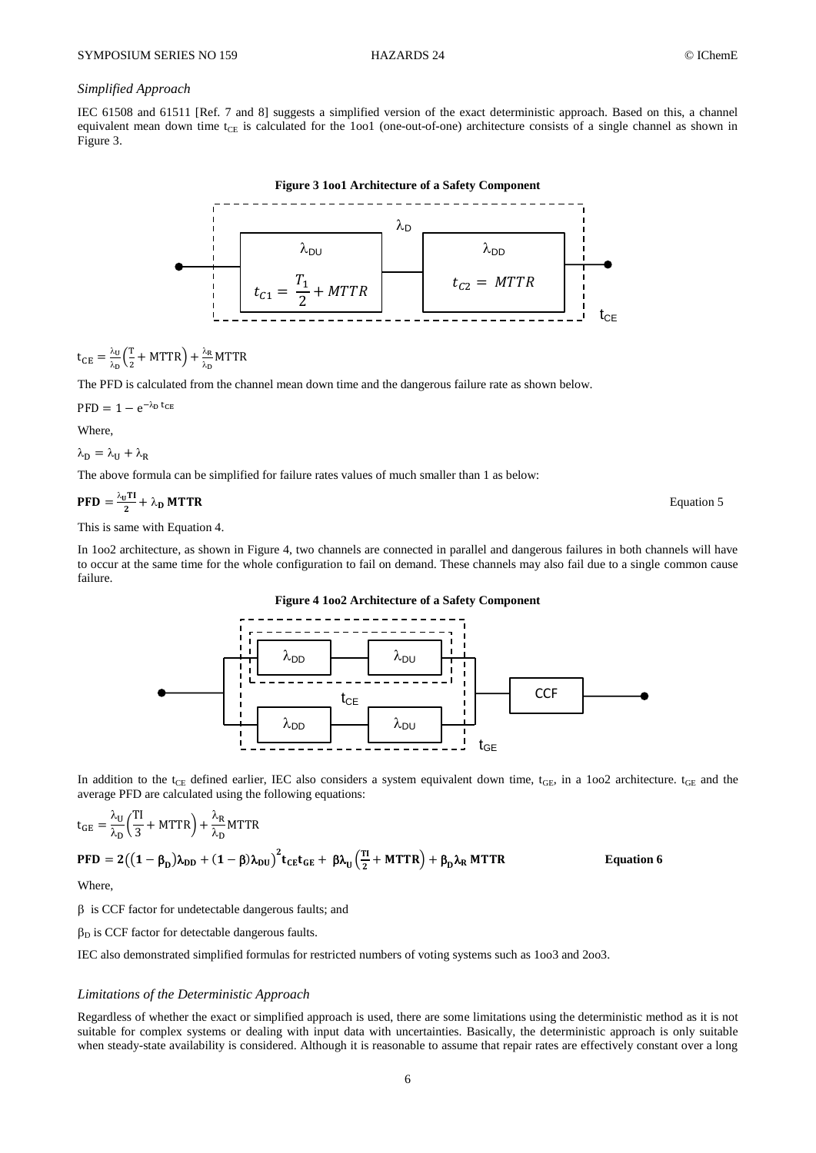# *Simplified Approach*

<span id="page-5-0"></span>IEC 61508 and 61511 [Ref. [7](#page-9-5) and [8\]](#page-9-6) suggests a simplified version of the exact deterministic approach. Based on this, a channel equivalent mean down time t<sub>CE</sub> is calculated for the 1oo1 (one-out-of-one) architecture consists of a single channel as shown in [Figure 3.](#page-5-0)

**Figure 3 1oo1 Architecture of a Safety Component**  $t_{C1} =$  $\overline{T}$  $\overline{c}$  $+ MTTR$  $\lambda_{DU}$  $t_{C2}$  = MTTR  $\lambda$ nn  $\lambda_\mathsf{D}$  $t_{CE}$ 

$$
t_{CE} = \frac{\lambda_U}{\lambda_D} \left( \frac{T}{2} + MTTR \right) + \frac{\lambda_R}{\lambda_D} MTTR
$$

The PFD is calculated from the channel mean down time and the dangerous failure rate as shown below.

$$
PFD = 1 - e^{-\lambda_D t_{CB}}
$$

Where,

$$
\lambda_D=\lambda_U+\lambda_R
$$

The above formula can be simplified for failure rates values of much smaller than 1 as below:

$$
PFD = \frac{\lambda_0 T I}{2} + \lambda_D M T T R
$$
Equation 5

This is same with Equation 4.

<span id="page-5-1"></span>In 1oo2 architecture, as shown in [Figure 4,](#page-5-1) two channels are connected in parallel and dangerous failures in both channels will have to occur at the same time for the whole configuration to fail on demand. These channels may also fail due to a single common cause failure.





In addition to the t<sub>CE</sub> defined earlier, IEC also considers a system equivalent down time, t<sub>GE</sub>, in a 1oo2 architecture. t<sub>GE</sub> and the average PFD are calculated using the following equations:

$$
t_{GE} = \frac{\lambda_U}{\lambda_D} \left( \frac{TI}{3} + MTTR \right) + \frac{\lambda_R}{\lambda_D} MTTR
$$
  
 
$$
PFD = 2((1 - \beta_D)\lambda_{DD} + (1 - \beta)\lambda_{DU})^2 t_{CE} t_{GE} + \beta \lambda_U \left( \frac{TI}{2} + MTTR \right) + \beta_D \lambda_R MTTR
$$
 Equation 6

Where,

 $\beta$  is CCF factor for undetectable dangerous faults; and

 $\beta_D$  is CCF factor for detectable dangerous faults.

IEC also demonstrated simplified formulas for restricted numbers of voting systems such as 1oo3 and 2oo3.

## *Limitations of the Deterministic Approach*

Regardless of whether the exact or simplified approach is used, there are some limitations using the deterministic method as it is not suitable for complex systems or dealing with input data with uncertainties. Basically, the deterministic approach is only suitable when steady-state availability is considered. Although it is reasonable to assume that repair rates are effectively constant over a long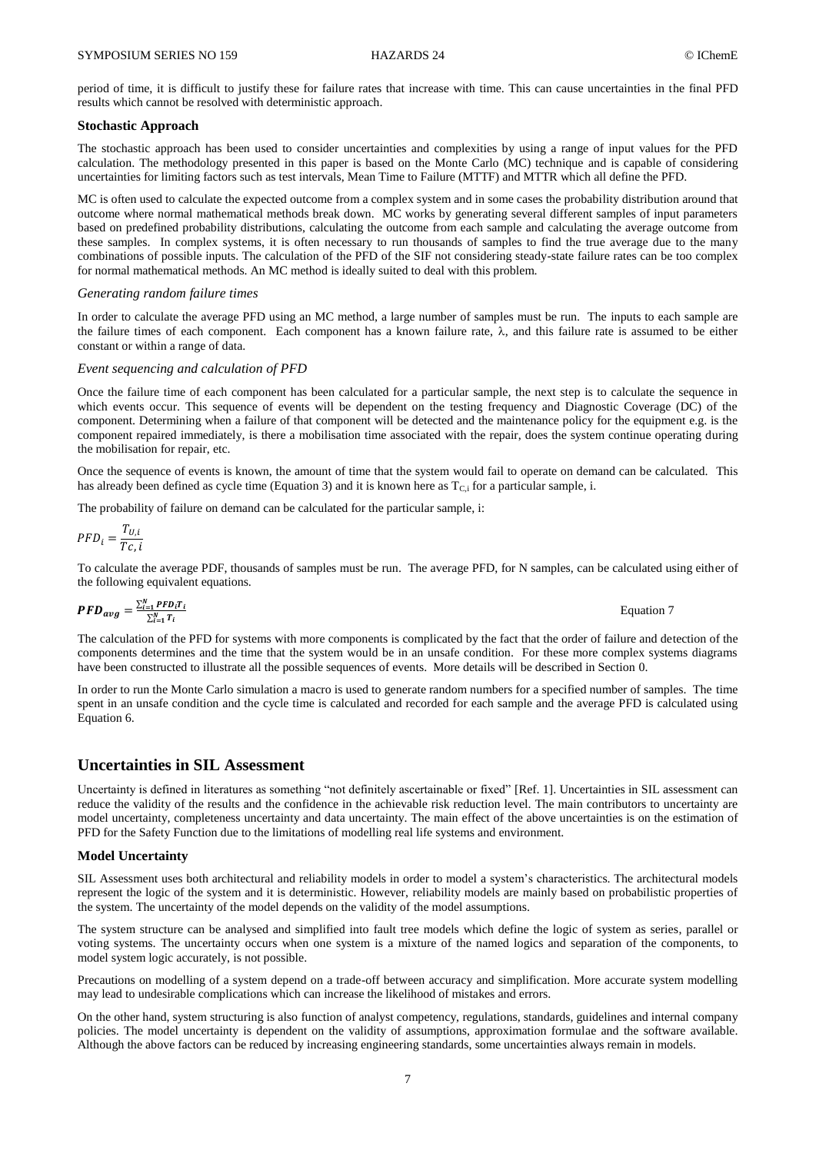period of time, it is difficult to justify these for failure rates that increase with time. This can cause uncertainties in the final PFD results which cannot be resolved with deterministic approach.

### **Stochastic Approach**

The stochastic approach has been used to consider uncertainties and complexities by using a range of input values for the PFD calculation. The methodology presented in this paper is based on the Monte Carlo (MC) technique and is capable of considering uncertainties for limiting factors such as test intervals, Mean Time to Failure (MTTF) and MTTR which all define the PFD.

MC is often used to calculate the expected outcome from a complex system and in some cases the probability distribution around that outcome where normal mathematical methods break down. MC works by generating several different samples of input parameters based on predefined probability distributions, calculating the outcome from each sample and calculating the average outcome from these samples. In complex systems, it is often necessary to run thousands of samples to find the true average due to the many combinations of possible inputs. The calculation of the PFD of the SIF not considering steady-state failure rates can be too complex for normal mathematical methods. An MC method is ideally suited to deal with this problem.

#### *Generating random failure times*

In order to calculate the average PFD using an MC method, a large number of samples must be run. The inputs to each sample are the failure times of each component. Each component has a known failure rate,  $\lambda$ , and this failure rate is assumed to be either constant or within a range of data.

### *Event sequencing and calculation of PFD*

Once the failure time of each component has been calculated for a particular sample, the next step is to calculate the sequence in which events occur. This sequence of events will be dependent on the testing frequency and Diagnostic Coverage (DC) of the component. Determining when a failure of that component will be detected and the maintenance policy for the equipment e.g. is the component repaired immediately, is there a mobilisation time associated with the repair, does the system continue operating during the mobilisation for repair, etc.

Once the sequence of events is known, the amount of time that the system would fail to operate on demand can be calculated. This has already been defined as cycle time (Equation 3) and it is known here as  $T_{C,i}$  for a particular sample, i.

The probability of failure on demand can be calculated for the particular sample, i:

$$
PFD_i = \frac{T_{U,i}}{Tc, i}
$$

To calculate the average PDF, thousands of samples must be run. The average PFD, for N samples, can be calculated using either of the following equivalent equations.

$$
PFD_{avg} = \frac{\sum_{i=1}^{N} PFD_iT_i}{\sum_{i=1}^{N} T_i}
$$
 Equation 7

The calculation of the PFD for systems with more components is complicated by the fact that the order of failure and detection of the components determines and the time that the system would be in an unsafe condition. For these more complex systems diagrams have been constructed to illustrate all the possible sequences of events. More details will be described in Section [0.](#page-7-0)

In order to run the Monte Carlo simulation a macro is used to generate random numbers for a specified number of samples. The time spent in an unsafe condition and the cycle time is calculated and recorded for each sample and the average PFD is calculated using Equation 6.

# **Uncertainties in SIL Assessment**

Uncertainty is defined in literatures as something "not definitely ascertainable or fixed" [Ref. [1\]](#page-9-0). Uncertainties in SIL assessment can reduce the validity of the results and the confidence in the achievable risk reduction level. The main contributors to uncertainty are model uncertainty, completeness uncertainty and data uncertainty. The main effect of the above uncertainties is on the estimation of PFD for the Safety Function due to the limitations of modelling real life systems and environment.

#### **Model Uncertainty**

SIL Assessment uses both architectural and reliability models in order to model a system's characteristics. The architectural models represent the logic of the system and it is deterministic. However, reliability models are mainly based on probabilistic properties of the system. The uncertainty of the model depends on the validity of the model assumptions.

The system structure can be analysed and simplified into fault tree models which define the logic of system as series, parallel or voting systems. The uncertainty occurs when one system is a mixture of the named logics and separation of the components, to model system logic accurately, is not possible.

Precautions on modelling of a system depend on a trade-off between accuracy and simplification. More accurate system modelling may lead to undesirable complications which can increase the likelihood of mistakes and errors.

On the other hand, system structuring is also function of analyst competency, regulations, standards, guidelines and internal company policies. The model uncertainty is dependent on the validity of assumptions, approximation formulae and the software available. Although the above factors can be reduced by increasing engineering standards, some uncertainties always remain in models.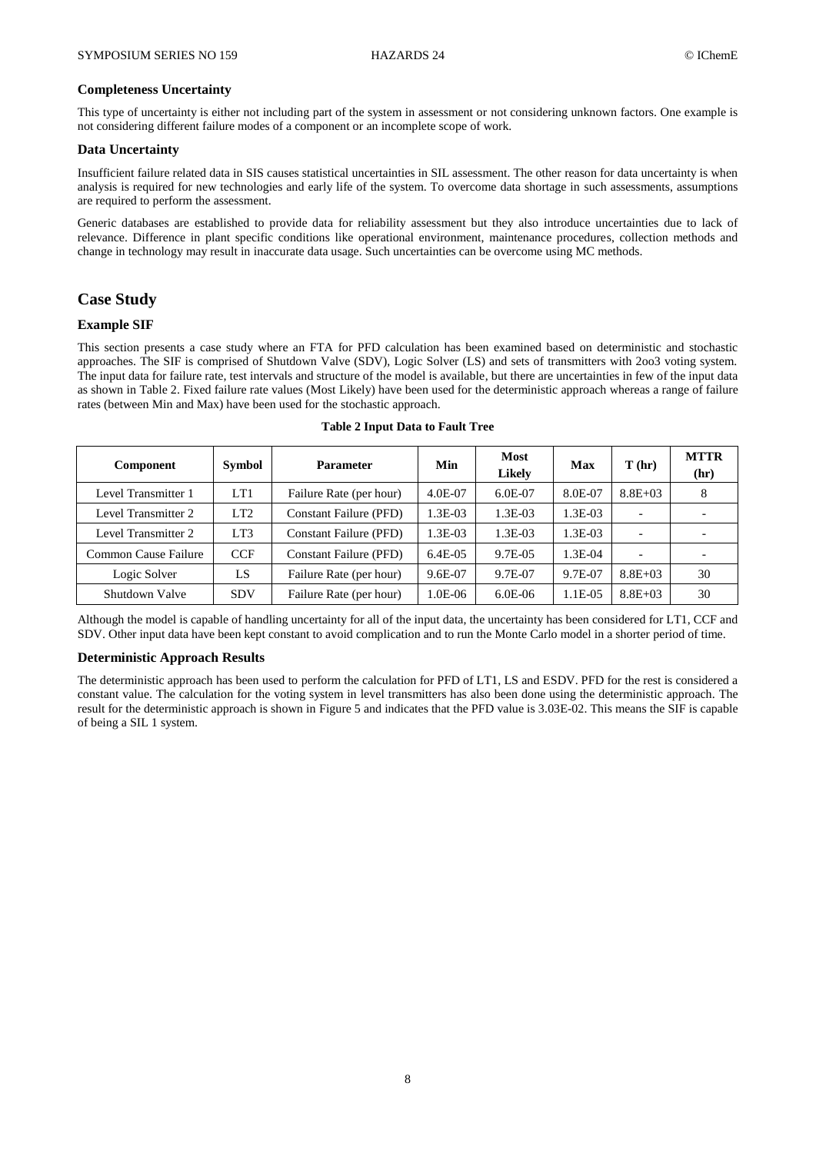### **Completeness Uncertainty**

This type of uncertainty is either not including part of the system in assessment or not considering unknown factors. One example is not considering different failure modes of a component or an incomplete scope of work.

# **Data Uncertainty**

Insufficient failure related data in SIS causes statistical uncertainties in SIL assessment. The other reason for data uncertainty is when analysis is required for new technologies and early life of the system. To overcome data shortage in such assessments, assumptions are required to perform the assessment.

Generic databases are established to provide data for reliability assessment but they also introduce uncertainties due to lack of relevance. Difference in plant specific conditions like operational environment, maintenance procedures, collection methods and change in technology may result in inaccurate data usage. Such uncertainties can be overcome using MC methods.

# <span id="page-7-0"></span>**Case Study**

# **Example SIF**

This section presents a case study where an FTA for PFD calculation has been examined based on deterministic and stochastic approaches. The SIF is comprised of Shutdown Valve (SDV), Logic Solver (LS) and sets of transmitters with 2oo3 voting system. The input data for failure rate, test intervals and structure of the model is available, but there are uncertainties in few of the input data as shown in [Table 2.](#page-7-1) Fixed failure rate values (Most Likely) have been used for the deterministic approach whereas a range of failure rates (between Min and Max) have been used for the stochastic approach.

<span id="page-7-1"></span>

| <b>Component</b>     | <b>Symbol</b>   | <b>Parameter</b>              | Min     | <b>Most</b><br><b>Likely</b> | Max       | T(hr)       | <b>MTTR</b><br>(hr) |
|----------------------|-----------------|-------------------------------|---------|------------------------------|-----------|-------------|---------------------|
| Level Transmitter 1  | LT1             | Failure Rate (per hour)       | 4.0E-07 | 6.0E-07                      | 8.0E-07   | $8.8E + 03$ |                     |
| Level Transmitter 2  | LT <sub>2</sub> | <b>Constant Failure (PFD)</b> | 1.3E-03 | 1.3E-03                      | $1.3E-03$ |             |                     |
| Level Transmitter 2  | LT3             | <b>Constant Failure (PFD)</b> | 1.3E-03 | 1.3E-03                      | 1.3E-03   |             |                     |
| Common Cause Failure | <b>CCF</b>      | <b>Constant Failure (PFD)</b> | 6.4E-05 | 9.7E-05                      | 1.3E-04   |             |                     |
| Logic Solver         | LS              | Failure Rate (per hour)       | 9.6E-07 | 9.7E-07                      | 9.7E-07   | $8.8E + 03$ | 30                  |
| Shutdown Valve       | <b>SDV</b>      | Failure Rate (per hour)       | 1.0E-06 | $6.0E-06$                    | 1.1E-05   | $8.8E + 03$ | 30                  |

#### **Table 2 Input Data to Fault Tree**

Although the model is capable of handling uncertainty for all of the input data, the uncertainty has been considered for LT1, CCF and SDV. Other input data have been kept constant to avoid complication and to run the Monte Carlo model in a shorter period of time.

#### **Deterministic Approach Results**

The deterministic approach has been used to perform the calculation for PFD of LT1, LS and ESDV. PFD for the rest is considered a constant value. The calculation for the voting system in level transmitters has also been done using the deterministic approach. The result for the deterministic approach is shown in [Figure 5](#page-8-0) and indicates that the PFD value is 3.03E-02. This means the SIF is capable of being a SIL 1 system.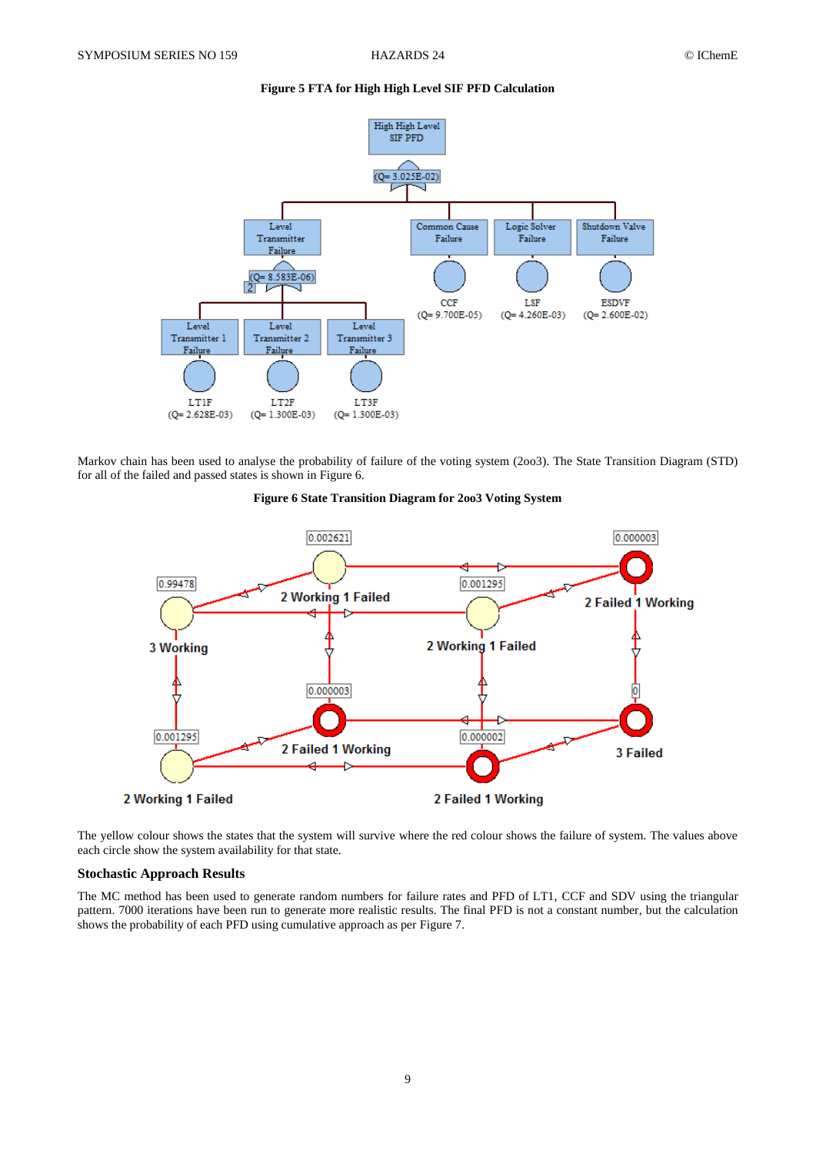# **Figure 5 FTA for High High Level SIF PFD Calculation**

<span id="page-8-0"></span>

<span id="page-8-1"></span>Markov chain has been used to analyse the probability of failure of the voting system (2oo3). The State Transition Diagram (STD) for all of the failed and passed states is shown i[n Figure 6.](#page-8-1)





The yellow colour shows the states that the system will survive where the red colour shows the failure of system. The values above each circle show the system availability for that state.

## **Stochastic Approach Results**

The MC method has been used to generate random numbers for failure rates and PFD of LT1, CCF and SDV using the triangular pattern. 7000 iterations have been run to generate more realistic results. The final PFD is not a constant number, but the calculation shows the probability of each PFD using cumulative approach as per [Figure 7.](#page-9-7)